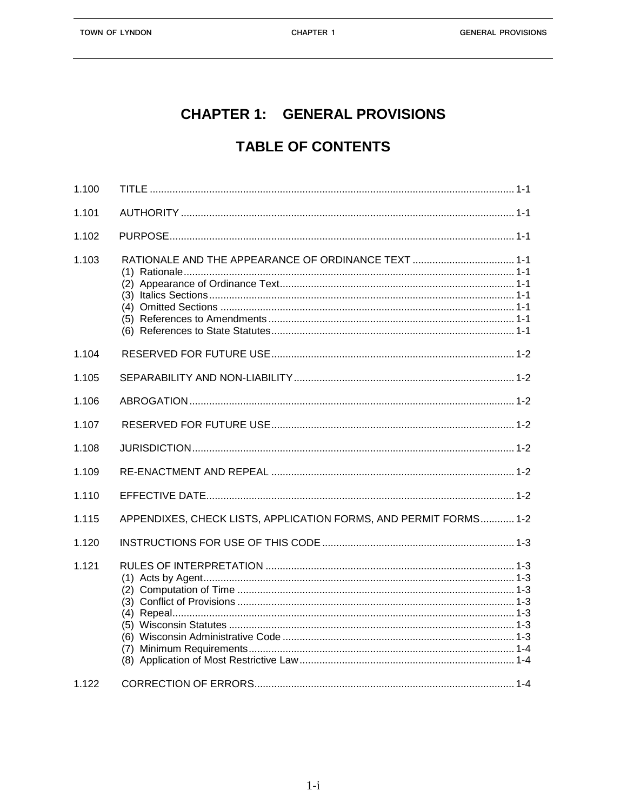## **CHAPTER 1: GENERAL PROVISIONS**

## **TABLE OF CONTENTS**

| 1.101 |                                                                  |
|-------|------------------------------------------------------------------|
| 1.102 |                                                                  |
| 1.103 |                                                                  |
| 1.104 |                                                                  |
| 1.105 |                                                                  |
| 1.106 |                                                                  |
| 1.107 |                                                                  |
| 1.108 |                                                                  |
| 1.109 |                                                                  |
| 1.110 |                                                                  |
|       |                                                                  |
| 1.115 | APPENDIXES, CHECK LISTS, APPLICATION FORMS, AND PERMIT FORMS 1-2 |
| 1.120 |                                                                  |
| 1.121 |                                                                  |